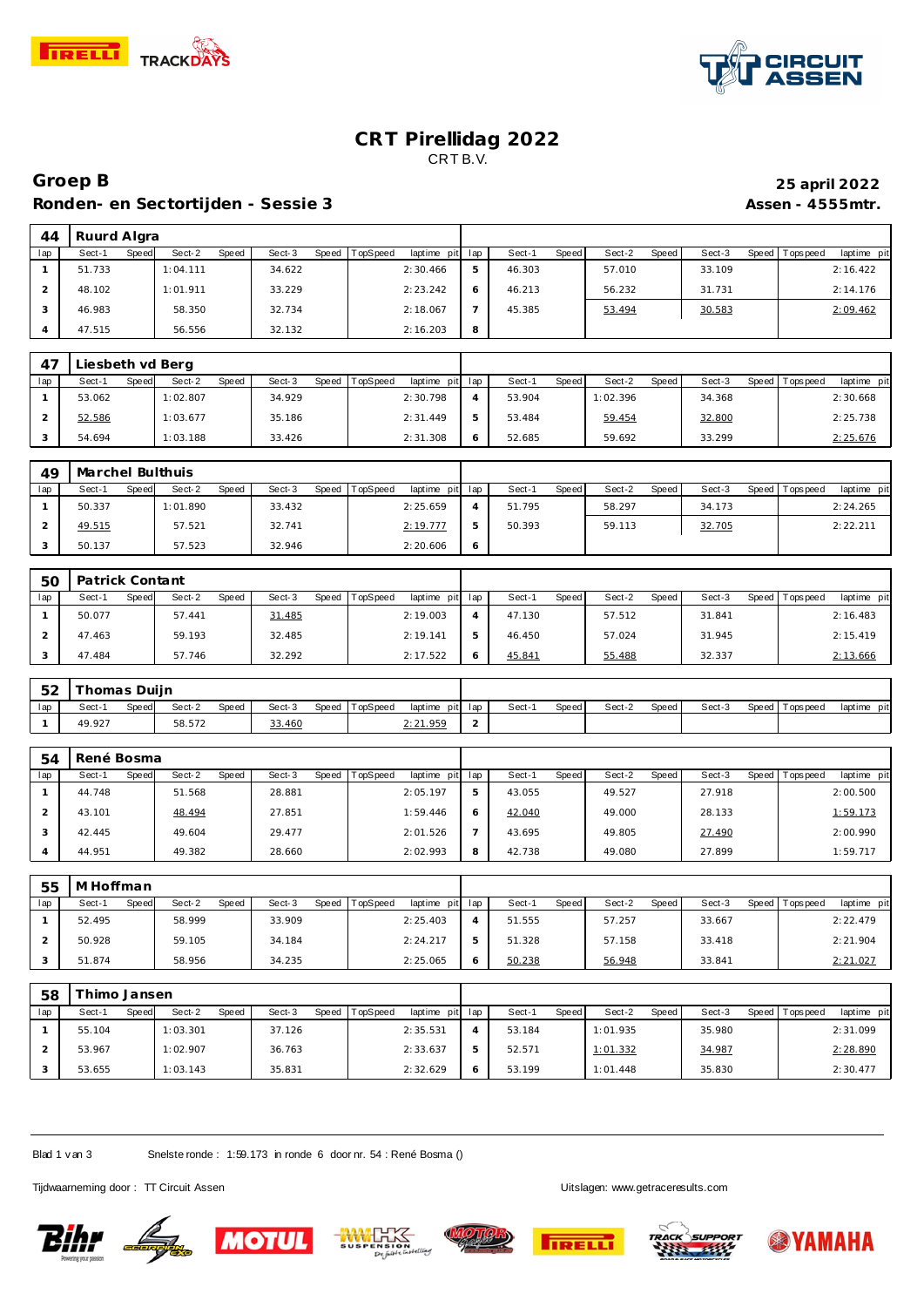

44 Ruurd Algra<br> **1ap** Sect-1 Speed Sect-2



# **CRT Pirellidag 2022** CRT B.V.

Speed Sect-3 Speed TopSpeed laptime pit lap Sect-1 Speed Sect-2 Speed Sect-3 Speed Topspeed laptime pit

#### **Groep B 25 april 2022** Ronden- en Sectortijden - Sessie 3 **Assen - 4555mtr.**

| $\mathbf{1}$   | 51.733                     |              | 1:04.111 |              | 34.622 |       |          | 2:30.466    | 5              | 46.303 |              | 57.010   |              | 33.109 |              |                 | 2:16.422    |
|----------------|----------------------------|--------------|----------|--------------|--------|-------|----------|-------------|----------------|--------|--------------|----------|--------------|--------|--------------|-----------------|-------------|
| $\overline{2}$ | 48.102                     |              | 1:01.911 |              | 33.229 |       |          | 2:23.242    | 6              | 46.213 |              | 56.232   |              | 31.731 |              |                 | 2:14.176    |
| 3              | 46.983                     |              | 58.350   |              | 32.734 |       |          | 2:18.067    | $\overline{7}$ | 45.385 |              | 53.494   |              | 30.583 |              |                 | 2:09.462    |
| $\overline{4}$ | 47.515                     |              | 56.556   |              | 32.132 |       |          | 2:16.203    | 8              |        |              |          |              |        |              |                 |             |
|                |                            |              |          |              |        |       |          |             |                |        |              |          |              |        |              |                 |             |
| 47             | Liesbeth vd Berg           |              |          |              |        |       |          |             |                |        |              |          |              |        |              |                 |             |
| lap            | Sect-1                     | <b>Speed</b> | Sect-2   | Speed        | Sect-3 | Speed | TopSpeed | laptime pit | lap            | Sect-1 | Speed        | Sect-2   | Speed        | Sect-3 | Speed        | T ops pee d     | laptime pit |
| $\mathbf{1}$   | 53.062                     |              | 1:02.807 |              | 34.929 |       |          | 2:30.798    | $\overline{4}$ | 53.904 |              | 1:02.396 |              | 34.368 |              |                 | 2:30.668    |
| $\sqrt{2}$     | 52.586                     |              | 1:03.677 |              | 35.186 |       |          | 2:31.449    | 5              | 53.484 |              | 59.454   |              | 32.800 |              |                 | 2:25.738    |
| 3              | 54.694                     |              | 1:03.188 |              | 33.426 |       |          | 2:31.308    | 6              | 52.685 |              | 59.692   |              | 33.299 |              |                 | 2:25.676    |
|                |                            |              |          |              |        |       |          |             |                |        |              |          |              |        |              |                 |             |
| 49<br>lap      | Marchel Bulthuis<br>Sect-1 | Speed        | Sect-2   | Speed        | Sect-3 | Speed | TopSpeed | laptime pit | lap            | Sect-1 | Speed        | Sect-2   | Speed        | Sect-3 | Speed        | Tops peed       | laptime pit |
| $\mathbf{1}$   | 50.337                     |              | 1:01.890 |              | 33.432 |       |          | 2:25.659    | $\overline{4}$ | 51.795 |              | 58.297   |              | 34.173 |              |                 | 2:24.265    |
| $\overline{2}$ | 49.515                     |              | 57.521   |              | 32.741 |       |          | 2:19.777    | 5              | 50.393 |              | 59.113   |              | 32.705 |              |                 | 2:22.211    |
| 3              | 50.137                     |              | 57.523   |              | 32.946 |       |          | 2:20.606    | 6              |        |              |          |              |        |              |                 |             |
|                |                            |              |          |              |        |       |          |             |                |        |              |          |              |        |              |                 |             |
| 50             | Patrick Contant            |              |          |              |        |       |          |             |                |        |              |          |              |        |              |                 |             |
| lap            | Sect-1                     | Speed        | Sect-2   | Speed        | Sect-3 | Speed | TopSpeed | laptime pit | lap            | Sect-1 | Speed        | Sect-2   | Speed        | Sect-3 | <b>Speed</b> | T ops pee d     | laptime pit |
| $\mathbf{1}$   | 50.077                     |              | 57.441   |              | 31.485 |       |          | 2:19.003    | $\overline{4}$ | 47.130 |              | 57.512   |              | 31.841 |              |                 | 2:16.483    |
| $\overline{2}$ | 47.463                     |              | 59.193   |              | 32.485 |       |          | 2:19.141    | 5              | 46.450 |              | 57.024   |              | 31.945 |              |                 | 2:15.419    |
| 3              | 47.484                     |              | 57.746   |              | 32.292 |       |          | 2:17.522    | 6              | 45.841 |              | 55.488   |              | 32.337 |              |                 | 2:13.666    |
|                |                            |              |          |              |        |       |          |             |                |        |              |          |              |        |              |                 |             |
|                |                            |              |          |              |        |       |          |             |                |        |              |          |              |        |              |                 |             |
| 52             | Thomas Duijn               |              |          |              |        |       |          |             |                |        |              |          |              |        |              |                 |             |
| lap            | Sect-1                     | Speed        | Sect-2   | Speed        | Sect-3 | Speed | TopSpeed | laptime pit | lap            | Sect-1 | Speed        | Sect-2   | Speed        | Sect-3 | Speed        | Tops peed       | laptime pit |
| 1              | 49.927                     |              | 58.572   |              | 33.460 |       |          | 2:21.959    | $\overline{c}$ |        |              |          |              |        |              |                 |             |
|                |                            |              |          |              |        |       |          |             |                |        |              |          |              |        |              |                 |             |
| 54<br>lap      | René Bosma<br>Sect-1       | Speed        | Sect-2   | Speed        | Sect-3 | Speed | TopSpeed | laptime pit | lap            | Sect-1 | Speed        | Sect-2   | Speed        | Sect-3 | Speed        | Tops pee d      | laptime pit |
| $\mathbf{1}$   | 44.748                     |              | 51.568   |              | 28.881 |       |          | 2:05.197    | $\mathbf 5$    | 43.055 |              | 49.527   |              | 27.918 |              |                 | 2:00.500    |
| $\overline{2}$ | 43.101                     |              | 48.494   |              | 27.851 |       |          | 1:59.446    | 6              | 42.040 |              | 49.000   |              | 28.133 |              |                 | 1:59.173    |
| 3              | 42.445                     |              | 49.604   |              | 29.477 |       |          | 2:01.526    | $\overline{7}$ | 43.695 |              | 49.805   |              | 27.490 |              |                 | 2:00.990    |
| $\overline{4}$ | 44.951                     |              | 49.382   |              | 28.660 |       |          | 2:02.993    | 8              | 42.738 |              | 49.080   |              | 27.899 |              |                 | 1:59.717    |
|                |                            |              |          |              |        |       |          |             |                |        |              |          |              |        |              |                 |             |
| 55             | M Hoffman                  |              |          |              |        |       |          |             |                |        |              |          |              |        |              |                 |             |
| lap            | Sect-1                     | Speed        | Sect-2   | Speed        | Sect-3 | Speed | TopSpeed | laptime pit | lap            | Sect-1 | Speed        | Sect-2   | Speed        | Sect-3 | Speed        | <b>Topspeed</b> | laptime pit |
| $\mathbf{1}$   | 52.495                     |              | 58.999   |              | 33.909 |       |          | 2:25.403    | $\overline{4}$ | 51.555 |              | 57.257   |              | 33.667 |              |                 | 2:22.479    |
| $\overline{2}$ | 50.928                     |              | 59.105   |              | 34.184 |       |          | 2:24.217    | 5              | 51.328 |              | 57.158   |              | 33.418 |              |                 | 2:21.904    |
| $\sqrt{3}$     | 51.874                     |              | 58.956   |              | 34.235 |       |          | 2:25.065    | 6              | 50.238 |              | 56.948   |              | 33.841 |              |                 | 2:21.027    |
|                |                            |              |          |              |        |       |          |             |                |        |              |          |              |        |              |                 |             |
| 58<br>lap      | Thimo Jansen<br>Sect-1     | <b>Speed</b> | Sect-2   | <b>Speed</b> | Sect-3 | Speed | TopSpeed | laptime pit | lap            | Sect-1 | <b>Speed</b> | Sect-2   | <b>Speed</b> | Sect-3 | Speed        | T ops pee d     | laptime pit |

Blad 1 v an 3 Snelste ronde : 1:59.173 in ronde 6 door nr. 54 : René Bosma ()

Tijdwaarneming door : TT Circuit Assen Company of the United States of Circuit Assen Uitslagen:<www.getraceresults.com>





 55.104 1:03.301 37.126 2:35.531 53.967 1:02.907 36.763 2:33.637 53.655 1:03.143 35.831 2:32.629







 52.571 1:01.332 34.987 2:28.890 53.199 1:01.448 35.830 2:30.477

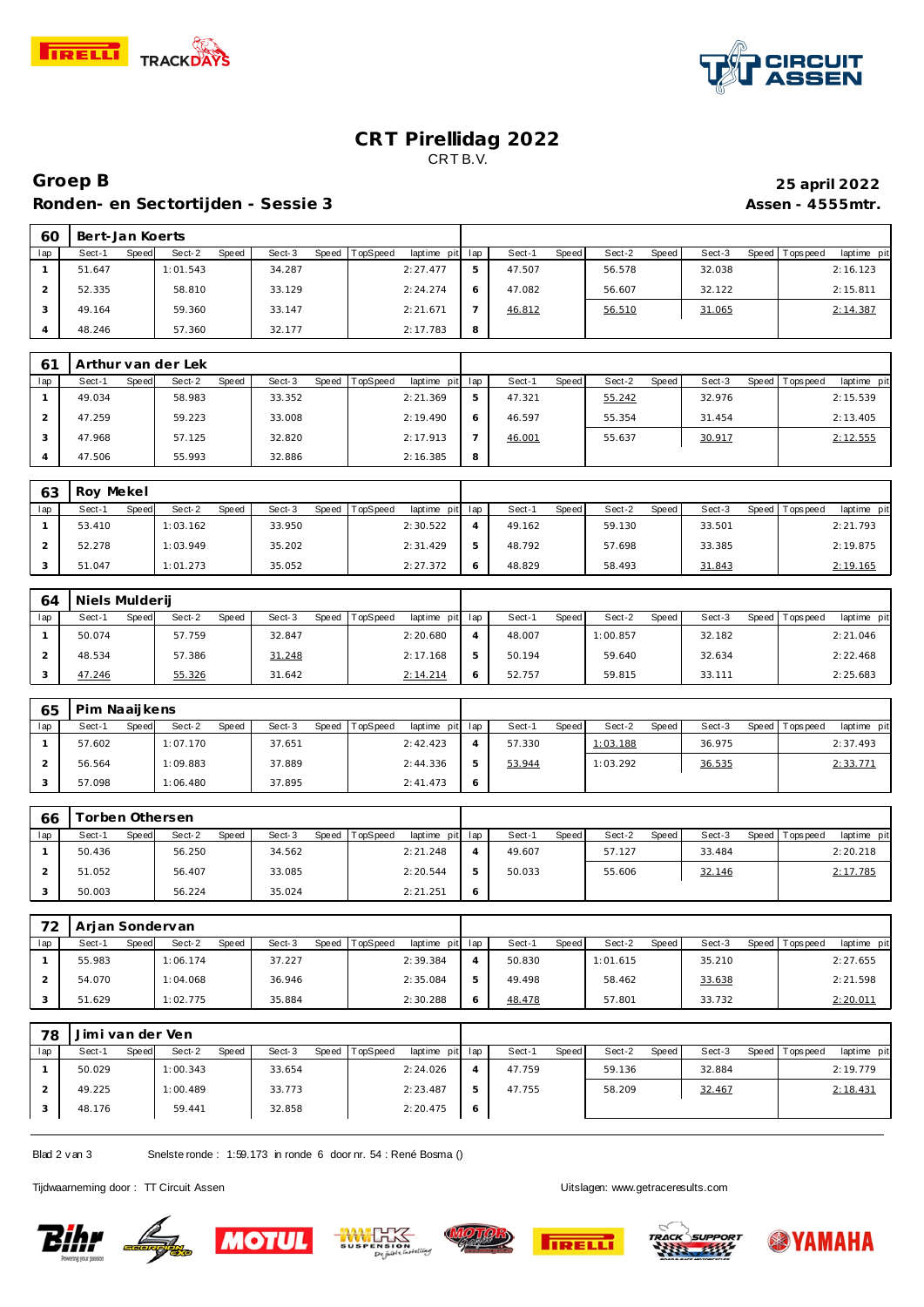



# **CRT Pirellidag 2022** CRT B.V.

# **Groep B 25 april 2022** Ronden- en Sectortijden - Sessie 3 **Assen - 4555mtr.**

| 60  | Bert-Jan Koerts |              |          |       |        |       |          |             |     |        |              |        |       |        |                |             |
|-----|-----------------|--------------|----------|-------|--------|-------|----------|-------------|-----|--------|--------------|--------|-------|--------|----------------|-------------|
| lap | Sect-1          | <b>Speed</b> | Sect-2   | Speed | Sect-3 | Speed | TopSpeed | laptime pit | lap | Sect-1 | <b>Speed</b> | Sect-2 | Speed | Sect-3 | Speed Topspeed | laptime pit |
|     | 51.647          |              | 1:01.543 |       | 34.287 |       |          | 2:27.477    | ы   | 47.507 |              | 56.578 |       | 32.038 |                | 2:16.123    |
|     | 52.335          |              | 58.810   |       | 33.129 |       |          | 2:24.274    |     | 47.082 |              | 56.607 |       | 32.122 |                | 2:15.811    |
|     | 49.164          |              | 59.360   |       | 33.147 |       |          | 2:21.671    |     | 46.812 |              | 56.510 |       | 31.065 |                | 2:14.387    |
|     | 48.246          |              | 57.360   |       | 32.177 |       |          | 2:17.783    | 8   |        |              |        |       |        |                |             |

| 6 <sup>1</sup> | Arthur van der Lek |                        |                 |                                    |   |                 |                 |        |                               |
|----------------|--------------------|------------------------|-----------------|------------------------------------|---|-----------------|-----------------|--------|-------------------------------|
| lap            | Sect-1<br>Speed    | Sect-2<br><b>Speed</b> | Sect-3<br>Speed | <b>TopSpeed</b><br>laptime pit lap |   | Speed<br>Sect-1 | Speed<br>Sect-2 | Sect-3 | Speed Topspeed<br>laptime pit |
|                | 49.034             | 58.983                 | 33.352          | 2:21.369                           |   | 47.321          | 55.242          | 32.976 | 2:15.539                      |
|                | 47.259             | 59.223                 | 33.008          | 2:19.490                           |   | 46.597          | 55.354          | 31.454 | 2:13.405                      |
|                | 47.968             | 57.125                 | 32.820          | 2:17.913                           |   | 46.001          | 55.637          | 30.917 | 2:12.555                      |
|                | 47.506             | 55.993                 | 32.886          | 2:16.385                           | 8 |                 |                 |        |                               |

| 63  | Roy Mekel       |                 |                 |                             |   |                 |                        |                 |                           |
|-----|-----------------|-----------------|-----------------|-----------------------------|---|-----------------|------------------------|-----------------|---------------------------|
| lap | Sect-1<br>Speed | Sect-2<br>Speed | Sect-3<br>Speed | TopSpeed<br>laptime pit lap |   | Sect-1<br>Speed | Sect-2<br><b>Speed</b> | Sect-3<br>Speed | laptime pit<br>Tops pee d |
|     | 53.410          | 1:03.162        | 33.950          | 2:30.522                    | 4 | 49.162          | 59.130                 | 33.501          | 2:21.793                  |
|     | 52.278          | 1:03.949        | 35.202          | 2:31.429                    | ь | 48.792          | 57.698                 | 33.385          | 2:19.875                  |
|     | 51.047          | 1:01.273        | 35.052          | 2:27.372                    |   | 48.829          | 58.493                 | 31.843          | 2:19.165                  |

| 64  | Niels Mulderij |                          |                 |                         |     |                 |                 |                 |                           |
|-----|----------------|--------------------------|-----------------|-------------------------|-----|-----------------|-----------------|-----------------|---------------------------|
| lap | Sect-1         | Sect-2<br>Speed<br>Speed | Sect-3<br>Speed | TopSpeed<br>laptime pit | lap | Sect-1<br>Speed | Sect-2<br>Speed | Sect-3<br>Speed | laptime pit<br>Tops pee d |
|     | 50.074         | 57.759                   | 32.847          | 2:20.680                | 4   | 48.007          | 1:00.857        | 32.182          | 2:21.046                  |
|     | 48.534         | 57.386                   | 31.248          | 2:17.168                | ь   | 50.194          | 59.640          | 32.634          | 2:22.468                  |
|     | 47.246         | 55.326                   | 31.642          | 2:14.214                | O   | 52.757          | 59.815          | 33.111          | 2:25.683                  |

| 65  | Pim Naaijkens |                 |       |        |                  |                 |   |        |       |          |       |        |                 |             |
|-----|---------------|-----------------|-------|--------|------------------|-----------------|---|--------|-------|----------|-------|--------|-----------------|-------------|
| lap | Sect-1        | Sect-2<br>Speed | Speed | Sect-3 | Speed   TopSpeed | laptime pit lap |   | Sect-1 | Speed | Sect-2   | Speed | Sect-3 | Speed Tops peed | laptime pit |
|     | 57.602        | 1:07.170        |       | 37.651 |                  | 2:42.423        |   | 57.330 |       | 1:03.188 |       | 36.975 |                 | 2:37.493    |
|     | 56.564        | 1:09.883        |       | 37.889 |                  | 2:44.336        | ь | 53.944 |       | 1:03.292 |       | 36.535 |                 | 2:33.771    |
|     | 57.098        | 1:06.480        |       | 37.895 |                  | 2:41.473        | O |        |       |          |       |        |                 |             |

| 66  | orben Othersen |       |        |       |        |       |          |                 |        |       |        |       |        |         |            |             |
|-----|----------------|-------|--------|-------|--------|-------|----------|-----------------|--------|-------|--------|-------|--------|---------|------------|-------------|
| lap | Sect-1         | Speed | Sect-2 | Speed | Sect-3 | Speed | TopSpeed | laptime pit lap | Sect-1 | Speed | Sect-2 | Speed | Sect-3 | Speed I | Tops pee d | laptime pit |
|     | 50.436         |       | 56.250 |       | 34.562 |       |          | 2:21.248        | 49.607 |       | 57.127 |       | 33.484 |         |            | 2:20.218    |
|     | 51.052         |       | 56.407 |       | 33.085 |       |          | 2:20.544        | 50.033 |       | 55.606 |       | 32.146 |         |            | 2:17.785    |
|     | 50.003         |       | 56.224 |       | 35.024 |       |          | 2:21.251        |        |       |        |       |        |         |            |             |

| 72  | Arjan Sondervan |       |          |       |        |       |          |                 |        |       |          |       |        |         |          |             |
|-----|-----------------|-------|----------|-------|--------|-------|----------|-----------------|--------|-------|----------|-------|--------|---------|----------|-------------|
| lap | Sect-1          | Speed | Sect-2   | Speed | Sect-3 | Speed | TopSpeed | laptime pit lap | Sect-1 | Speed | Sect-2   | Speed | Sect-3 | Speed I | Topspeed | laptime pit |
|     | 55.983          |       | 1:06.174 |       | 37.227 |       |          | 2:39.384        | 50.830 |       | 1:01.615 |       | 35.210 |         |          | 2:27.655    |
|     | 54.070          |       | 1:04.068 |       | 36.946 |       |          | 2:35.084        | 49.498 |       | 58.462   |       | 33.638 |         |          | 2:21.598    |
|     | 51.629          |       | 1:02.775 |       | 35.884 |       |          | 2:30.288        | 48.478 |       | 57.801   |       | 33.732 |         |          | 2:20.011    |

| 78  | Jimi van der Ven |       |          |       |        |       |          |                 |   |        |       |        |       |        |         |          |             |
|-----|------------------|-------|----------|-------|--------|-------|----------|-----------------|---|--------|-------|--------|-------|--------|---------|----------|-------------|
| lap | Sect-1           | Speed | Sect-2   | Speed | Sect-3 | Speed | TopSpeed | laptime pit lap |   | Sect-1 | Speed | Sect-2 | Speed | Sect-3 | Speed I | Topspeed | laptime pit |
|     | 50.029           |       | 1:00.343 |       | 33.654 |       |          | 2:24.026        |   | 47.759 |       | 59.136 |       | 32.884 |         |          | 2:19.779    |
|     | 49.225           |       | 1:00.489 |       | 33.773 |       |          | 2:23.487        | 5 | 47.755 |       | 58.209 |       | 32.467 |         |          | 2:18.431    |
|     | 48.176           |       | 59.441   |       | 32.858 |       |          | 2:20.475        | 6 |        |       |        |       |        |         |          |             |

Blad 2 v an 3 Snelste ronde : 1:59.173 in ronde 6 door nr. 54 : René Bosma ()

Tijdwaarneming door : TT Circuit Assen Uitslagen:<www.getraceresults.com>